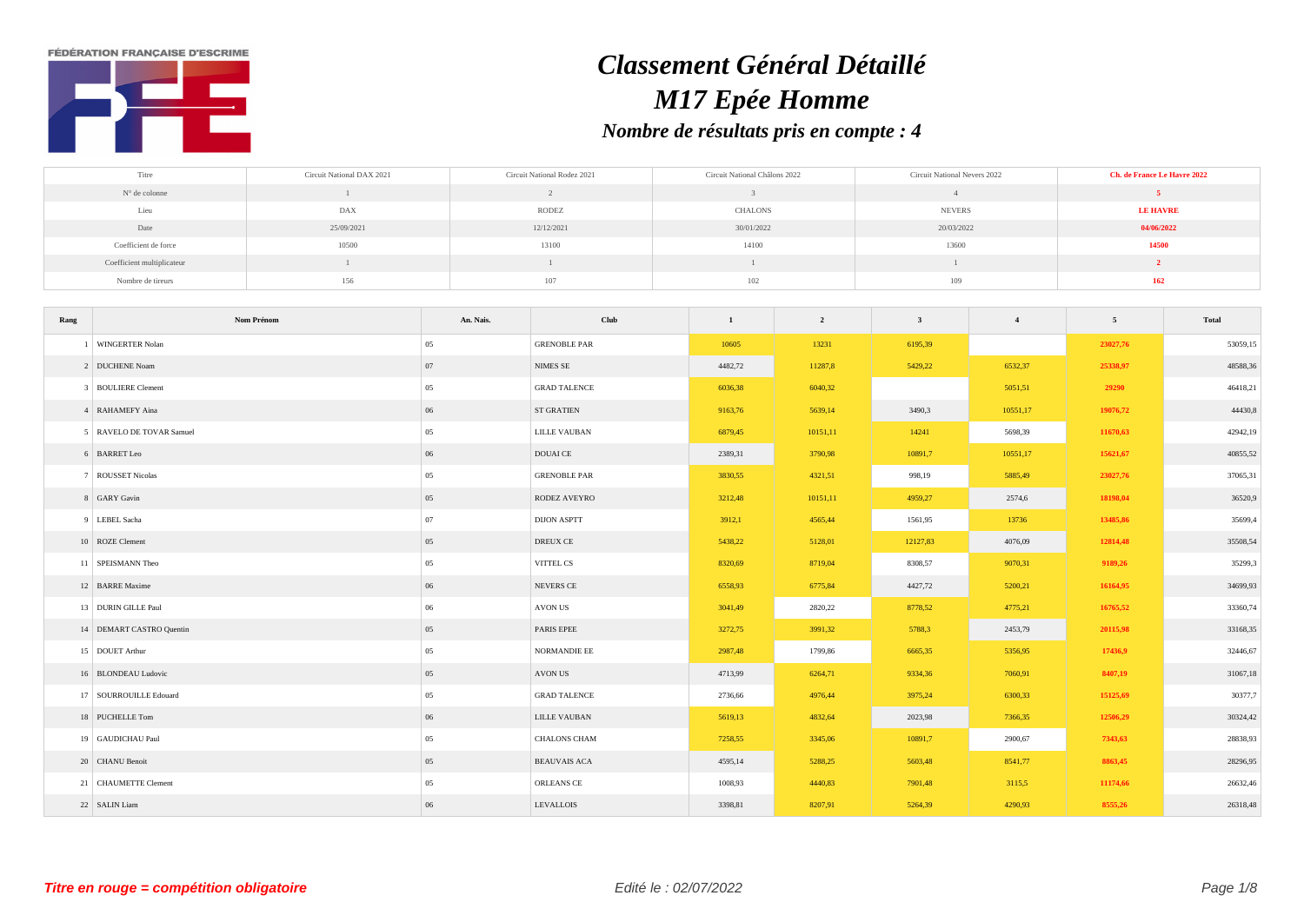**FÉDÉRATION FRANCAISE D'ESCRIME** 



## *Classement Général Détaillé M17 Epée Homme Nombre de résultats pris en compte : 4*

| Titre                      | Circuit National DAX 2021 | Circuit National Rodez 2021 | Circuit National Châlons 2022 | Circuit National Nevers 2022 | <b>Ch. de France Le Havre 2022</b> |
|----------------------------|---------------------------|-----------------------------|-------------------------------|------------------------------|------------------------------------|
| N° de colonne              |                           |                             |                               |                              |                                    |
| . .<br>Lieu                | DAX                       | <b>RODEZ</b>                | CHALONS                       | <b>NEVERS</b>                | <b>LE HAVRE</b>                    |
| Date                       | 25/09/2021                | 12/12/2021                  | 30/01/2022                    | 20/03/2022                   | 04/06/2022                         |
| Coefficient de force       | 10500                     | 13100                       | 14100                         | 13600                        | 14500                              |
| Coefficient multiplicateur |                           |                             |                               |                              |                                    |
| Nombre de tireurs          | 156                       | 107                         | 102                           | 109                          | 162                                |

| Rang                   | Nom Prénom               | An. Nais. | Club                | 1       | $\overline{\mathbf{2}}$ | $\overline{\mathbf{3}}$ | $\overline{4}$ | $5\overline{5}$ | Total    |
|------------------------|--------------------------|-----------|---------------------|---------|-------------------------|-------------------------|----------------|-----------------|----------|
| WINGERTER Nolan        |                          | 05        | <b>GRENOBLE PAR</b> | 10605   | 13231                   | 6195,39                 |                | 23027,76        | 53059,15 |
| 2 DUCHENE Noam         |                          | 07        | <b>NIMES SE</b>     | 4482,72 | 11287,8                 | 5429,22                 | 6532,37        | 25338,97        | 48588,36 |
| 3 BOULIERE Clement     |                          | 05        | <b>GRAD TALENCE</b> | 6036,38 | 6040,32                 |                         | 5051,51        | 29290           | 46418,21 |
| 4 RAHAMEFY Aina        |                          | $06\,$    | <b>ST GRATIEN</b>   | 9163,76 | 5639,14                 | 3490,3                  | 10551,17       | 19076,72        | 44430,8  |
|                        | 5 RAVELO DE TOVAR Samuel | 05        | LILLE VAUBAN        | 6879,45 | 10151,11                | 14241                   | 5698,39        | 11670,63        | 42942,19 |
| 6 BARRET Leo           |                          | 06        | <b>DOUAI</b> CE     | 2389,31 | 3790,98                 | 10891,7                 | 10551,17       | 15621,67        | 40855,52 |
| 7 ROUSSET Nicolas      |                          | 05        | <b>GRENOBLE PAR</b> | 3830,55 | 4321,51                 | 998,19                  | 5885,49        | 23027,76        | 37065,31 |
| 8 GARY Gavin           |                          | 05        | RODEZ AVEYRO        | 3212,48 | 10151,11                | 4959,27                 | 2574,6         | 18198,04        | 36520,9  |
| 9 LEBEL Sacha          |                          | 07        | <b>DIJON ASPTT</b>  | 3912,1  | 4565,44                 | 1561,95                 | 13736          | 13485,86        | 35699,4  |
| 10 ROZE Clement        |                          | 05        | DREUX CE            | 5438,22 | 5128,01                 | 12127,83                | 4076,09        | 12814,48        | 35508,54 |
| 11 SPEISMANN Theo      |                          | 05        | VITTEL CS           | 8320,69 | 8719,04                 | 8308,57                 | 9070,31        | 9189,26         | 35299,3  |
| 12 BARRE Maxime        |                          | 06        | NEVERS CE           | 6558,93 | 6775,84                 | 4427,72                 | 5200,21        | 16164,95        | 34699,93 |
| 13 DURIN GILLE Paul    |                          | 06        | AVON US             | 3041,49 | 2820,22                 | 8778,52                 | 4775,21        | 16765,52        | 33360,74 |
|                        | 14 DEMART CASTRO Quentin | 05        | PARIS EPEE          | 3272,75 | 3991,32                 | 5788,3                  | 2453,79        | 20115,98        | 33168,35 |
| 15 DOUET Arthur        |                          | 05        | NORMANDIE EE        | 2987,48 | 1799,86                 | 6665,35                 | 5356,95        | 17436,9         | 32446,67 |
| 16 BLONDEAU Ludovic    |                          | 05        | AVON US             | 4713,99 | 6264,71                 | 9334,36                 | 7060,91        | 8407,19         | 31067,18 |
| 17 SOURROUILLE Edouard |                          | 05        | <b>GRAD TALENCE</b> | 2736,66 | 4976,44                 | 3975,24                 | 6300,33        | 15125,69        | 30377,7  |
| 18 PUCHELLE Tom        |                          | 06        | LILLE VAUBAN        | 5619,13 | 4832,64                 | 2023,98                 | 7366,35        | 12506,29        | 30324,42 |
| 19 GAUDICHAU Paul      |                          | 05        | <b>CHALONS CHAM</b> | 7258,55 | 3345,06                 | 10891,7                 | 2900,67        | 7343,63         | 28838,93 |
| 20 CHANU Benoit        |                          | 05        | <b>BEAUVAIS ACA</b> | 4595,14 | 5288,25                 | 5603,48                 | 8541,77        | 8863,45         | 28296,95 |
| 21 CHAUMETTE Clement   |                          | 05        | ORLEANS CE          | 1008,93 | 4440,83                 | 7901,48                 | 3115,5         | 11174,66        | 26632,46 |
| 22 SALIN Liam          |                          | 06        | LEVALLOIS           | 3398,81 | 8207,91                 | 5264,39                 | 4290,93        | 8555,26         | 26318,48 |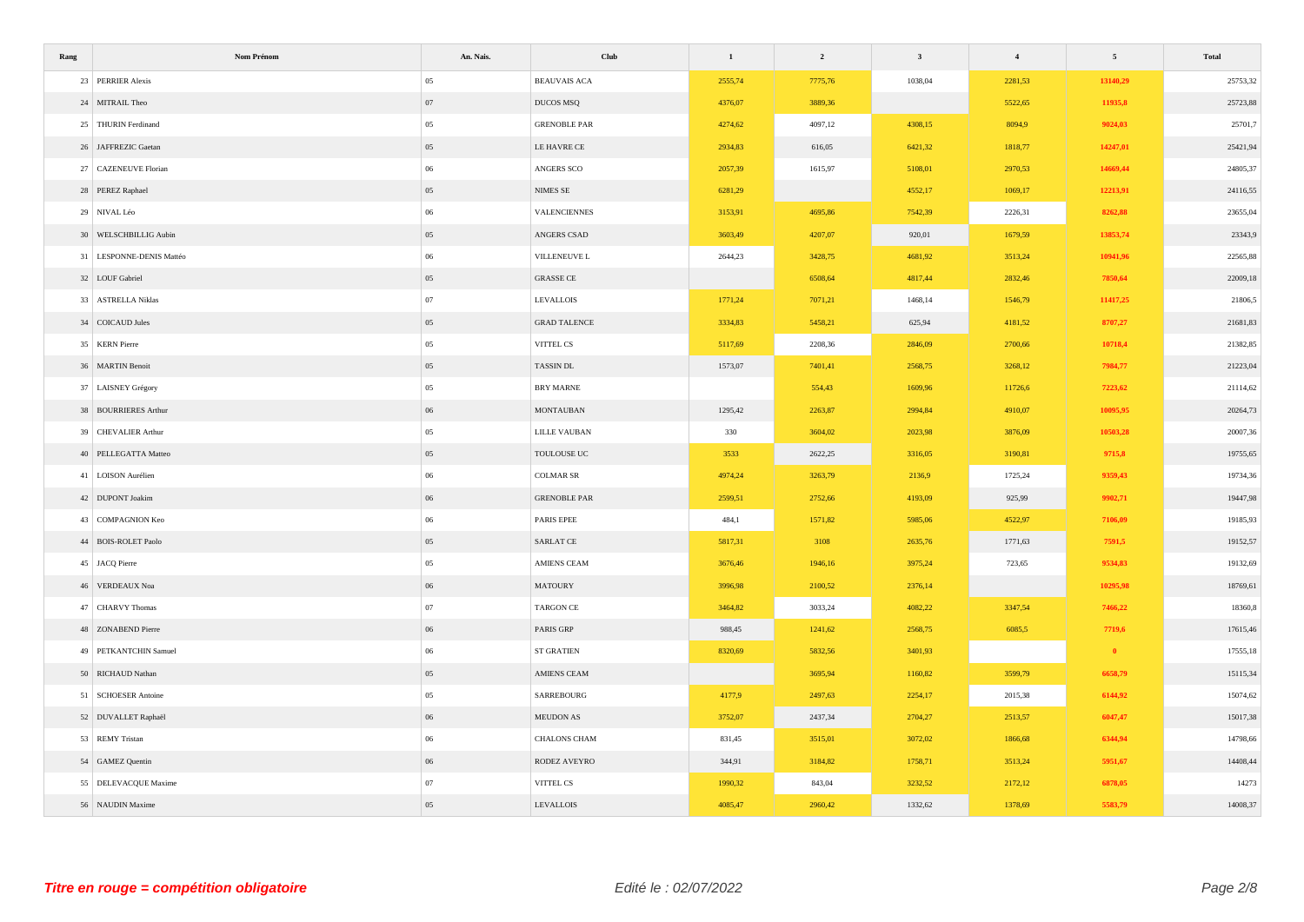| Rang                     | Nom Prénom | An. Nais. | Club                | $\mathbf 1$ | $\overline{\mathbf{2}}$ | $\overline{\mathbf{3}}$ | $\overline{\mathbf{4}}$ | $\overline{5}$ | Total    |
|--------------------------|------------|-----------|---------------------|-------------|-------------------------|-------------------------|-------------------------|----------------|----------|
| 23 PERRIER Alexis        |            | 05        | <b>BEAUVAIS ACA</b> | 2555,74     | 7775,76                 | 1038,04                 | 2281,53                 | 13140,29       | 25753,32 |
| 24 MITRAIL Theo          |            | 07        | DUCOS MSQ           | 4376,07     | 3889,36                 |                         | 5522,65                 | 11935,8        | 25723,88 |
| 25 THURIN Ferdinand      |            | 05        | <b>GRENOBLE PAR</b> | 4274,62     | 4097,12                 | 4308,15                 | 8094,9                  | 9024,03        | 25701,7  |
| 26 JAFFREZIC Gaetan      |            | 05        | LE HAVRE CE         | 2934,83     | 616,05                  | 6421,32                 | 1818,77                 | 14247,01       | 25421,94 |
| 27 CAZENEUVE Florian     |            | 06        | ANGERS SCO          | 2057,39     | 1615,97                 | 5108,01                 | 2970,53                 | 14669,44       | 24805,37 |
| 28 PEREZ Raphael         |            | 05        | $\mbox{NIMES}$ SE   | 6281,29     |                         | 4552,17                 | 1069,17                 | 12213,91       | 24116,55 |
| 29 NIVAL Léo             |            | 06        | VALENCIENNES        | 3153,91     | 4695,86                 | 7542,39                 | 2226,31                 | 8262,88        | 23655,04 |
| 30 WELSCHBILLIG Aubin    |            | 05        | ANGERS CSAD         | 3603,49     | 4207,07                 | 920,01                  | 1679,59                 | 13853,74       | 23343,9  |
| 31 LESPONNE-DENIS Mattéo |            | 06        | VILLENEUVE L        | 2644,23     | 3428,75                 | 4681,92                 | 3513,24                 | 10941,96       | 22565,88 |
| 32 LOUF Gabriel          |            | 05        | <b>GRASSE CE</b>    |             | 6508,64                 | 4817,44                 | 2832,46                 | 7850,64        | 22009,18 |
| 33 ASTRELLA Niklas       |            | $07\,$    | <b>LEVALLOIS</b>    | 1771,24     | 7071,21                 | 1468,14                 | 1546,79                 | 11417,25       | 21806,5  |
| 34 COICAUD Jules         |            | 05        | <b>GRAD TALENCE</b> | 3334,83     | 5458,21                 | 625,94                  | 4181,52                 | 8707,27        | 21681,83 |
| 35 KERN Pierre           |            | 05        | VITTEL CS           | 5117,69     | 2208,36                 | 2846,09                 | 2700,66                 | 10718,4        | 21382,85 |
| 36 MARTIN Benoit         |            | 05        | TASSIN DL           | 1573,07     | 7401,41                 | 2568,75                 | 3268,12                 | 7984,77        | 21223,04 |
| 37 LAISNEY Grégory       |            | 05        | BRY MARNE           |             | 554,43                  | 1609,96                 | 11726,6                 | 7223,62        | 21114,62 |
| 38 BOURRIERES Arthur     |            | 06        | <b>MONTAUBAN</b>    | 1295,42     | 2263,87                 | 2994,84                 | 4910,07                 | 10095,95       | 20264,73 |
| 39 CHEVALIER Arthur      |            | 05        | LILLE VAUBAN        | 330         | 3604,02                 | 2023,98                 | 3876,09                 | 10503,28       | 20007,36 |
| 40 PELLEGATTA Matteo     |            | 05        | TOULOUSE UC         | 3533        | 2622,25                 | 3316,05                 | 3190,81                 | 9715,8         | 19755,65 |
| 41 LOISON Aurélien       |            | 06        | <b>COLMAR SR</b>    | 4974,24     | 3263,79                 | 2136,9                  | 1725,24                 | 9359,43        | 19734,36 |
| 42 DUPONT Joakim         |            | 06        | <b>GRENOBLE PAR</b> | 2599,51     | 2752,66                 | 4193,09                 | 925,99                  | 9902,71        | 19447,98 |
| 43 COMPAGNION Keo        |            | 06        | PARIS EPEE          | 484,1       | 1571,82                 | 5985,06                 | 4522,97                 | 7106,09        | 19185,93 |
| 44 BOIS-ROLET Paolo      |            | 05        | SARLAT CE           | 5817,31     | 3108                    | 2635,76                 | 1771,63                 | 7591,5         | 19152,57 |
| 45 JACQ Pierre           |            | 05        | AMIENS CEAM         | 3676,46     | 1946,16                 | 3975,24                 | 723,65                  | 9534,83        | 19132,69 |
| 46 VERDEAUX Noa          |            | 06        | <b>MATOURY</b>      | 3996,98     | 2100,52                 | 2376,14                 |                         | 10295,98       | 18769,61 |
| 47 CHARVY Thomas         |            | 07        | TARGON CE           | 3464,82     | 3033,24                 | 4082,22                 | 3347,54                 | 7466,22        | 18360,8  |
| 48 ZONABEND Pierre       |            | 06        | PARIS GRP           | 988,45      | 1241,62                 | 2568,75                 | 6085,5                  | 7719,6         | 17615,46 |
| 49 PETKANTCHIN Samuel    |            | 06        | ST GRATIEN          | 8320,69     | 5832,56                 | 3401,93                 |                         | $\bullet$      | 17555,18 |
| 50 RICHAUD Nathan        |            | 05        | AMIENS CEAM         |             | 3695,94                 | 1160,82                 | 3599,79                 | 6658,79        | 15115,34 |
| 51 SCHOESER Antoine      |            | 05        | SARREBOURG          | 4177,9      | 2497,63                 | 2254,17                 | 2015,38                 | 6144,92        | 15074,62 |
| 52 DUVALLET Raphaël      |            | $06\,$    | MEUDON AS           | 3752,07     | 2437,34                 | 2704,27                 | 2513,57                 | 6047,47        | 15017,38 |
| 53 REMY Tristan          |            | 06        | CHALONS CHAM        | 831,45      | 3515,01                 | 3072,02                 | 1866,68                 | 6344,94        | 14798,66 |
| 54 GAMEZ Quentin         |            | 06        | RODEZ AVEYRO        | 344,91      | 3184,82                 | 1758,71                 | 3513,24                 | 5951,67        | 14408,44 |
| 55 DELEVACQUE Maxime     |            | 07        | VITTEL CS           | 1990,32     | 843,04                  | 3232,52                 | 2172,12                 | 6878,05        | 14273    |
| 56 NAUDIN Maxime         |            | 05        | <b>LEVALLOIS</b>    | 4085,47     | 2960,42                 | 1332,62                 | 1378,69                 | 5583,79        | 14008,37 |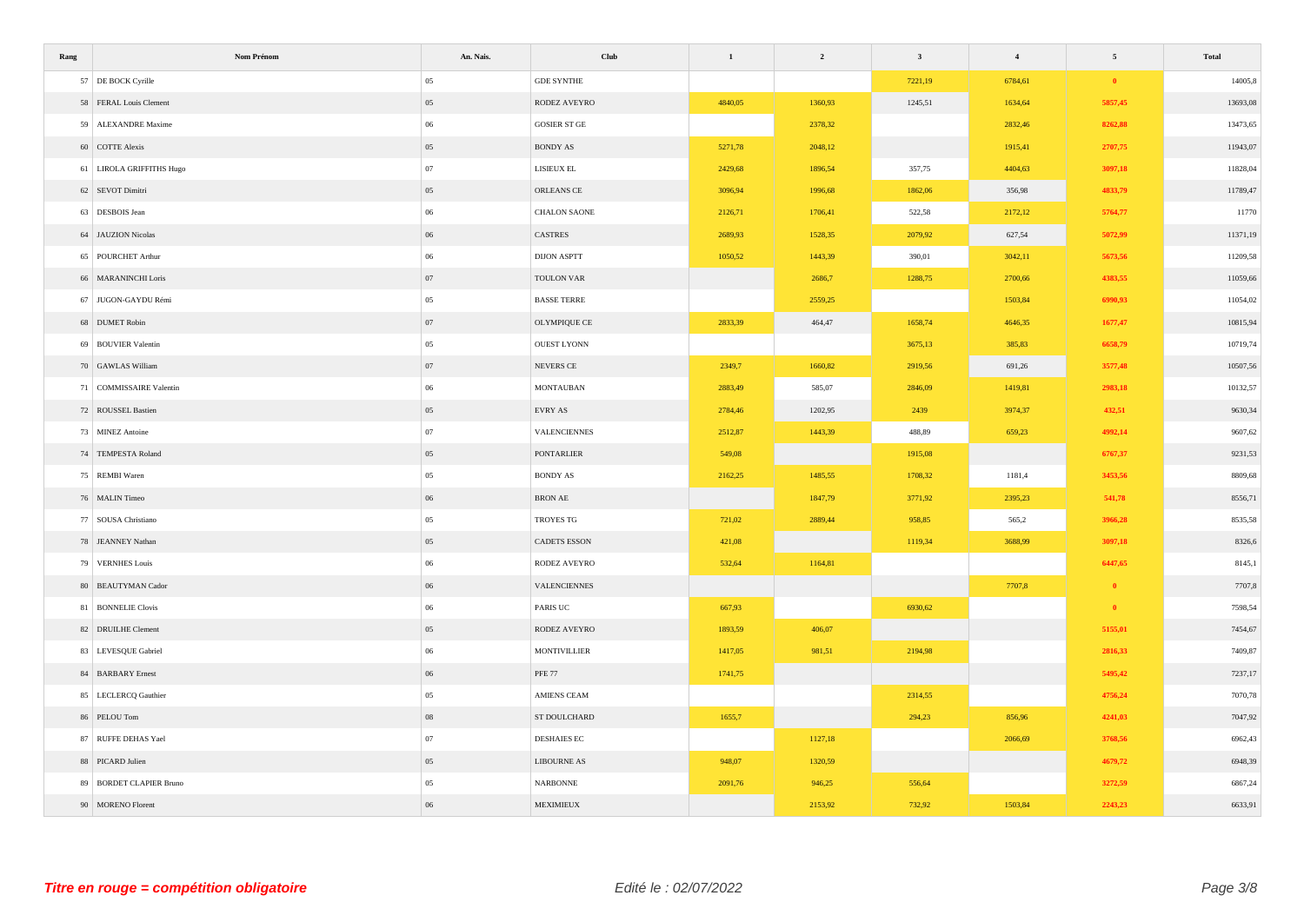| Rang                     | Nom Prénom | An. Nais. | Club                | $\mathbf 1$ | $\overline{\mathbf{c}}$ | $\overline{\mathbf{3}}$ | $\overline{\mathbf{4}}$ | $\sqrt{5}$ | Total    |
|--------------------------|------------|-----------|---------------------|-------------|-------------------------|-------------------------|-------------------------|------------|----------|
| 57 DE BOCK Cyrille       |            | 05        | <b>GDE SYNTHE</b>   |             |                         | 7221,19                 | 6784,61                 | $\bullet$  | 14005,8  |
| 58 FERAL Louis Clement   |            | 05        | RODEZ AVEYRO        | 4840,05     | 1360,93                 | 1245,51                 | 1634,64                 | 5857,45    | 13693,08 |
| 59 ALEXANDRE Maxime      |            | 06        | <b>GOSIER ST GE</b> |             | 2378,32                 |                         | 2832,46                 | 8262,88    | 13473,65 |
| 60 COTTE Alexis          |            | 05        | <b>BONDY AS</b>     | 5271,78     | 2048,12                 |                         | 1915,41                 | 2707,75    | 11943,07 |
| 61 LIROLA GRIFFITHS Hugo |            | 07        | LISIEUX EL          | 2429,68     | 1896,54                 | 357,75                  | 4404,63                 | 3097,18    | 11828,04 |
| 62 SEVOT Dimitri         |            | $05\,$    | ORLEANS CE          | 3096,94     | 1996,68                 | 1862,06                 | 356,98                  | 4833,79    | 11789,47 |
| 63 DESBOIS Jean          |            | 06        | CHALON SAONE        | 2126,71     | 1706,41                 | 522,58                  | 2172,12                 | 5764,77    | 11770    |
| 64 JAUZION Nicolas       |            | $06\,$    | CASTRES             | 2689,93     | 1528,35                 | 2079,92                 | 627,54                  | 5072,99    | 11371,19 |
| 65 POURCHET Arthur       |            | 06        | <b>DIJON ASPTT</b>  | 1050,52     | 1443,39                 | 390,01                  | 3042,11                 | 5673,56    | 11209,58 |
| 66 MARANINCHI Loris      |            | 07        | TOULON VAR          |             | 2686,7                  | 1288,75                 | 2700,66                 | 4383,55    | 11059,66 |
| 67 JUGON-GAYDU Rémi      |            | 05        | <b>BASSE TERRE</b>  |             | 2559,25                 |                         | 1503,84                 | 6990,93    | 11054,02 |
| 68 DUMET Robin           |            | 07        | OLYMPIQUE CE        | 2833,39     | 464,47                  | 1658,74                 | 4646,35                 | 1677,47    | 10815,94 |
| 69 BOUVIER Valentin      |            | 05        | <b>OUEST LYONN</b>  |             |                         | 3675,13                 | 385,83                  | 6658,79    | 10719,74 |
| 70 GAWLAS William        |            | 07        | NEVERS CE           | 2349,7      | 1660,82                 | 2919,56                 | 691,26                  | 3577,48    | 10507,56 |
| 71 COMMISSAIRE Valentin  |            | $06\,$    | <b>MONTAUBAN</b>    | 2883,49     | 585,07                  | 2846,09                 | 1419,81                 | 2983,18    | 10132,57 |
| 72 ROUSSEL Bastien       |            | $05\,$    | ${\rm EVRY}$ AS     | 2784,46     | 1202,95                 | 2439                    | 3974,37                 | 432,51     | 9630,34  |
| 73 MINEZ Antoine         |            | 07        | VALENCIENNES        | 2512,87     | 1443,39                 | 488,89                  | 659,23                  | 4992,14    | 9607,62  |
| 74 TEMPESTA Roland       |            | 05        | PONTARLIER          | 549,08      |                         | 1915,08                 |                         | 6767,37    | 9231,53  |
| 75 REMBI Waren           |            | 05        | <b>BONDY AS</b>     | 2162,25     | 1485,55                 | 1708,32                 | 1181,4                  | 3453,56    | 8809,68  |
| 76 MALIN Timeo           |            | 06        | <b>BRON AE</b>      |             | 1847,79                 | 3771,92                 | 2395,23                 | 541,78     | 8556,71  |
| 77 SOUSA Christiano      |            | 05        | TROYES TG           | 721,02      | 2889,44                 | 958,85                  | 565,2                   | 3966,28    | 8535,58  |
| 78 JEANNEY Nathan        |            | $05\,$    | CADETS ESSON        | 421,08      |                         | 1119,34                 | 3688,99                 | 3097,18    | 8326,6   |
| 79 VERNHES Louis         |            | 06        | RODEZ AVEYRO        | 532,64      | 1164,81                 |                         |                         | 6447,65    | 8145,1   |
| 80 BEAUTYMAN Cador       |            | 06        | VALENCIENNES        |             |                         |                         | 7707,8                  | $\bullet$  | 7707,8   |
| 81 BONNELIE Clovis       |            | 06        | PARIS UC            | 667,93      |                         | 6930,62                 |                         | $\bullet$  | 7598,54  |
| 82 DRUILHE Clement       |            | 05        | RODEZ AVEYRO        | 1893,59     | 406,07                  |                         |                         | 5155,01    | 7454,67  |
| 83 LEVESQUE Gabriel      |            | 06        | <b>MONTIVILLIER</b> | 1417,05     | 981,51                  | 2194,98                 |                         | 2816,33    | 7409,87  |
| 84 BARBARY Ernest        |            | 06        | <b>PFE 77</b>       | 1741,75     |                         |                         |                         | 5495,42    | 7237,17  |
| 85 LECLERCQ Gauthier     |            | 05        | <b>AMIENS CEAM</b>  |             |                         | 2314,55                 |                         | 4756,24    | 7070,78  |
| 86 PELOU Tom             |            | $08\,$    | ST DOULCHARD        | 1655,7      |                         | 294,23                  | 856,96                  | 4241,03    | 7047,92  |
| 87 RUFFE DEHAS Yael      |            | 07        | DESHAIES EC         |             | 1127,18                 |                         | 2066,69                 | 3768,56    | 6962,43  |
| 88 PICARD Julien         |            | $05\,$    | <b>LIBOURNE AS</b>  | 948,07      | 1320,59                 |                         |                         | 4679,72    | 6948,39  |
| 89 BORDET CLAPIER Bruno  |            | 05        | <b>NARBONNE</b>     | 2091,76     | 946,25                  | 556,64                  |                         | 3272,59    | 6867,24  |
| 90 MORENO Florent        |            | 06        | MEXIMIEUX           |             | 2153,92                 | 732,92                  | 1503,84                 | 2243,23    | 6633,91  |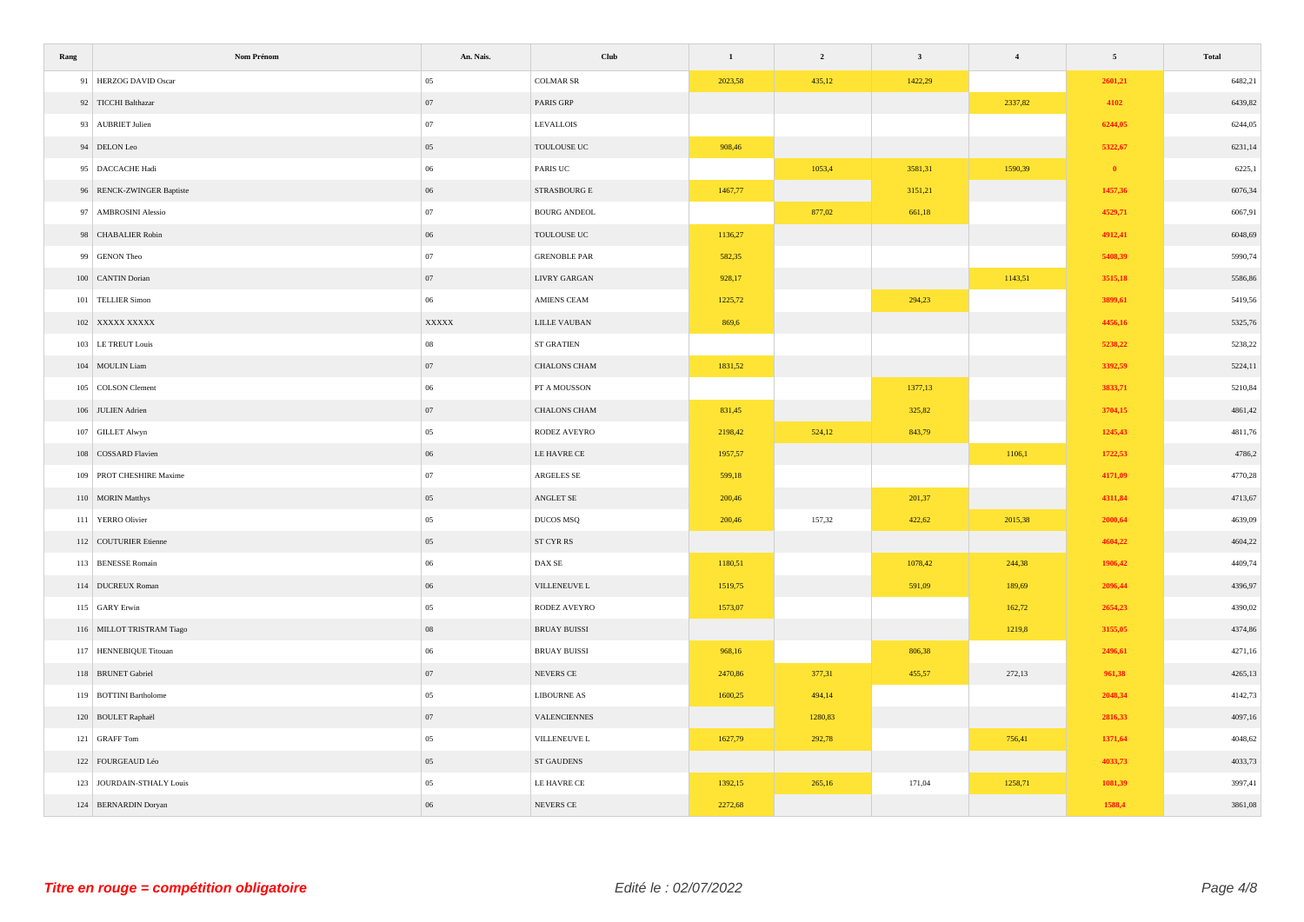| Rang | Nom Prénom                | An. Nais.  | Club                       | $\,$ 1 $\,$ | $\overline{\mathbf{2}}$ | $\mathbf{3}$ | $\overline{\mathbf{4}}$ | $\sqrt{5}$ | Total   |
|------|---------------------------|------------|----------------------------|-------------|-------------------------|--------------|-------------------------|------------|---------|
|      | 91 HERZOG DAVID Oscar     | 05         | $\rm COLMAR$ $\rm SR$      | 2023,58     | 435,12                  | 1422,29      |                         | 2601,21    | 6482,21 |
|      | 92 TICCHI Balthazar       | 07         | PARIS GRP                  |             |                         |              | 2337,82                 | 4102       | 6439,82 |
|      | 93 AUBRIET Julien         | 07         | <b>LEVALLOIS</b>           |             |                         |              |                         | 6244,05    | 6244,05 |
|      | 94 DELON Leo              | 05         | TOULOUSE UC                | 908,46      |                         |              |                         | 5322,67    | 6231,14 |
|      | 95 DACCACHE Hadi          | 06         | PARIS UC                   |             | 1053,4                  | 3581,31      | 1590,39                 | $\bullet$  | 6225,1  |
|      | 96 RENCK-ZWINGER Baptiste | 06         | STRASBOURG E               | 1467,77     |                         | 3151,21      |                         | 1457,36    | 6076,34 |
|      | 97 AMBROSINI Alessio      | 07         | BOURG ANDEOL               |             | 877,02                  | 661,18       |                         | 4529,71    | 6067,91 |
|      | 98 CHABALIER Robin        | 06         | TOULOUSE UC                | 1136,27     |                         |              |                         | 4912,41    | 6048,69 |
|      | 99 GENON Theo             | 07         | <b>GRENOBLE PAR</b>        | 582,35      |                         |              |                         | 5408,39    | 5990,74 |
|      | 100 CANTIN Dorian         | 07         | <b>LIVRY GARGAN</b>        | 928,17      |                         |              | 1143,51                 | 3515,18    | 5586,86 |
|      | 101 TELLIER Simon         | $06\,$     | AMIENS CEAM                | 1225,72     |                         | 294,23       |                         | 3899,61    | 5419,56 |
|      | 102 XXXXX XXXXX           | XXXXX      | LILLE VAUBAN               | 869,6       |                         |              |                         | 4456,16    | 5325,76 |
|      | 103 LE TREUT Louis        | ${\bf 08}$ | ST GRATIEN                 |             |                         |              |                         | 5238,22    | 5238,22 |
|      | 104 MOULIN Liam           | 07         | CHALONS CHAM               | 1831,52     |                         |              |                         | 3392,59    | 5224,11 |
|      | 105 COLSON Clement        | 06         | PT A MOUSSON               |             |                         | 1377,13      |                         | 3833,71    | 5210,84 |
|      | 106 JULIEN Adrien         | 07         | CHALONS CHAM               | 831,45      |                         | 325,82       |                         | 3704,15    | 4861,42 |
|      | 107 GILLET Alwyn          | 05         | RODEZ AVEYRO               | 2198,42     | 524,12                  | 843,79       |                         | 1245,43    | 4811,76 |
|      | 108 COSSARD Flavien       | 06         | LE HAVRE CE                | 1957,57     |                         |              | 1106,1                  | 1722,53    | 4786,2  |
|      | 109 PROT CHESHIRE Maxime  | 07         | ARGELES SE                 | 599,18      |                         |              |                         | 4171,09    | 4770,28 |
|      | 110 MORIN Matthys         | 05         | $\operatorname{ANGLET}$ SE | 200,46      |                         | 201,37       |                         | 4311,84    | 4713,67 |
|      | 111 YERRO Olivier         | 05         | DUCOS MSQ                  | 200,46      | 157,32                  | 422,62       | 2015,38                 | 2000,64    | 4639,09 |
|      | 112 COUTURIER Etienne     | 05         | ST CYR RS                  |             |                         |              |                         | 4604,22    | 4604,22 |
|      | 113 BENESSE Romain        | 06         | DAX SE                     | 1180,51     |                         | 1078,42      | 244,38                  | 1906,42    | 4409,74 |
|      | 114 DUCREUX Roman         | 06         | VILLENEUVE ${\mathcal{L}}$ | 1519,75     |                         | 591,09       | 189,69                  | 2096,44    | 4396,97 |
|      | 115 GARY Erwin            | 05         | RODEZ AVEYRO               | 1573,07     |                         |              | 162,72                  | 2654,23    | 4390,02 |
|      | 116 MILLOT TRISTRAM Tiago | 08         | <b>BRUAY BUISSI</b>        |             |                         |              | 1219,8                  | 3155,05    | 4374,86 |
|      | 117 HENNEBIQUE Titouan    | 06         | <b>BRUAY BUISSI</b>        | 968,16      |                         | 806,38       |                         | 2496,61    | 4271,16 |
|      | 118 BRUNET Gabriel        | 07         | NEVERS CE                  | 2470,86     | 377,31                  | 455,57       | 272,13                  | 961,38     | 4265,13 |
|      | 119 BOTTINI Bartholome    | 05         | LIBOURNE AS                | 1600,25     | 494,14                  |              |                         | 2048,34    | 4142,73 |
|      | 120 BOULET Raphaël        | 07         | VALENCIENNES               |             | 1280,83                 |              |                         | 2816,33    | 4097,16 |
|      | 121 GRAFF Tom             | 05         | VILLENEUVE L               | 1627,79     | 292,78                  |              | 756,41                  | 1371,64    | 4048,62 |
|      | 122 FOURGEAUD Léo         | 05         | ST GAUDENS                 |             |                         |              |                         | 4033,73    | 4033,73 |
|      | 123 JOURDAIN-STHALY Louis | $05\,$     | LE HAVRE CE                | 1392,15     | 265,16                  | 171,04       | 1258,71                 | 1081,39    | 3997,41 |
|      | 124 BERNARDIN Doryan      | 06         | NEVERS CE                  | 2272,68     |                         |              |                         | 1588,4     | 3861,08 |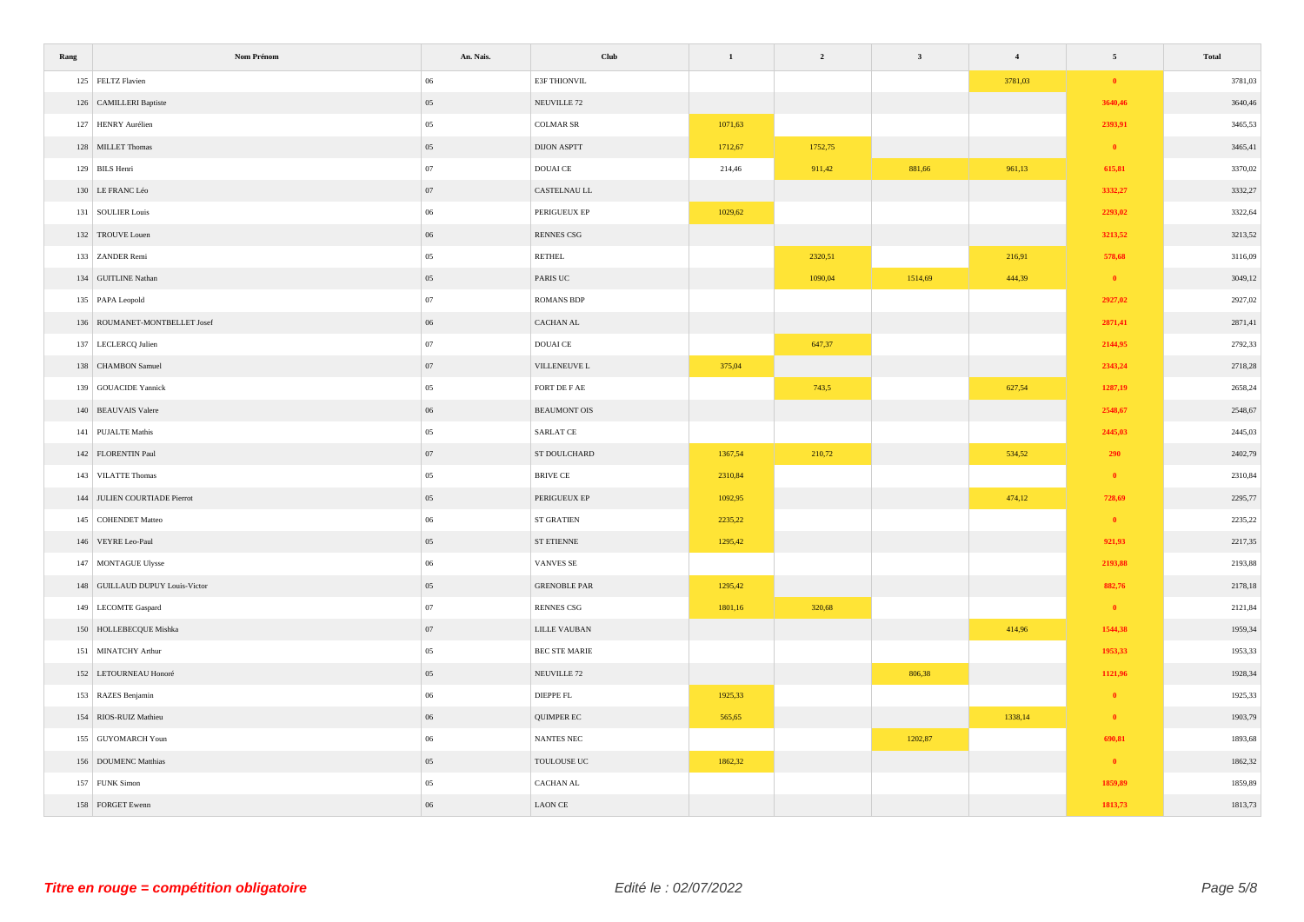| Rang | Nom Prénom                      | An. Nais. | Club                   | $\mathbf{1}$ | $\overline{2}$ | $\mathbf{3}$ | $\overline{4}$ | $\sqrt{5}$ | Total   |
|------|---------------------------------|-----------|------------------------|--------------|----------------|--------------|----------------|------------|---------|
|      | 125 FELTZ Flavien               | 06        | E3F THIONVIL           |              |                |              | 3781,03        | $\bullet$  | 3781,03 |
|      | 126 CAMILLERI Baptiste          | 05        | NEUVILLE <sub>72</sub> |              |                |              |                | 3640,46    | 3640,46 |
|      | 127 HENRY Aurélien              | 05        | $\rm COLMAR$ SR        | 1071,63      |                |              |                | 2393,91    | 3465,53 |
|      | 128 MILLET Thomas               | 05        | <b>DIJON ASPTT</b>     | 1712,67      | 1752,75        |              |                | $\bullet$  | 3465,41 |
|      | 129 BILS Henri                  | 07        | DOUAI CE               | 214,46       | 911,42         | 881,66       | 961,13         | 615,81     | 3370,02 |
|      | 130 LE FRANC Léo                | 07        | CASTELNAU LL           |              |                |              |                | 3332,27    | 3332,27 |
|      | 131 SOULIER Louis               | 06        | PERIGUEUX EP           | 1029,62      |                |              |                | 2293,02    | 3322,64 |
|      | 132 TROUVE Louen                | 06        | RENNES CSG             |              |                |              |                | 3213,52    | 3213,52 |
|      | 133 ZANDER Remi                 | 05        | RETHEL                 |              | 2320,51        |              | 216,91         | 578,68     | 3116,09 |
|      | 134 GUITLINE Nathan             | 05        | PARIS UC               |              | 1090,04        | 1514,69      | 444,39         | $\bullet$  | 3049,12 |
|      | 135 PAPA Leopold                | 07        | <b>ROMANS BDP</b>      |              |                |              |                | 2927,02    | 2927,02 |
|      | 136 ROUMANET-MONTBELLET Josef   | 06        | CACHAN AL              |              |                |              |                | 2871,41    | 2871,41 |
|      | 137 LECLERCQ Julien             | 07        | DOUAI CE               |              | 647,37         |              |                | 2144,95    | 2792,33 |
|      | 138 CHAMBON Samuel              | 07        | VILLENEUVE L           | 375,04       |                |              |                | 2343,24    | 2718,28 |
|      | 139 GOUACIDE Yannick            | 05        | FORT DE F AE           |              | 743,5          |              | 627,54         | 1287,19    | 2658,24 |
|      | 140 BEAUVAIS Valere             | 06        | BEAUMONT OIS           |              |                |              |                | 2548,67    | 2548,67 |
|      | 141 PUJALTE Mathis              | 05        | SARLAT CE              |              |                |              |                | 2445,03    | 2445,03 |
|      | 142 FLORENTIN Paul              | 07        | ST DOULCHARD           | 1367,54      | 210,72         |              | 534,52         | 290        | 2402,79 |
|      | 143 VILATTE Thomas              | 05        | BRIVE CE               | 2310,84      |                |              |                | $\bullet$  | 2310,84 |
|      | 144 JULIEN COURTIADE Pierrot    | 05        | PERIGUEUX EP           | 1092,95      |                |              | 474,12         | 728,69     | 2295,77 |
|      | 145 COHENDET Matteo             | 06        | ST GRATIEN             | 2235,22      |                |              |                | $\bullet$  | 2235,22 |
|      | 146 VEYRE Leo-Paul              | 05        | ST ETIENNE             | 1295,42      |                |              |                | 921,93     | 2217,35 |
|      | 147 MONTAGUE Ulysse             | 06        | VANVES SE              |              |                |              |                | 2193,88    | 2193,88 |
|      | 148 GUILLAUD DUPUY Louis-Victor | 05        | <b>GRENOBLE PAR</b>    | 1295,42      |                |              |                | 882,76     | 2178,18 |
|      | 149 LECOMTE Gaspard             | 07        | <b>RENNES CSG</b>      | 1801,16      | 320,68         |              |                | $\bullet$  | 2121,84 |
|      | 150 HOLLEBECQUE Mishka          | 07        | LILLE VAUBAN           |              |                |              | 414,96         | 1544,38    | 1959,34 |
|      | 151 MINATCHY Arthur             | 05        | BEC STE MARIE          |              |                |              |                | 1953,33    | 1953,33 |
|      | 152 LETOURNEAU Honoré           | 05        | NEUVILLE <sub>72</sub> |              |                | 806,38       |                | 1121,96    | 1928,34 |
|      | 153 RAZES Benjamin              | 06        | DIEPPE FL              | 1925,33      |                |              |                | $\bullet$  | 1925,33 |
|      | 154 RIOS-RUIZ Mathieu           | $06\,$    | QUIMPER EC             | 565,65       |                |              | 1338,14        | $\bullet$  | 1903,79 |
|      | 155 GUYOMARCH Youn              | 06        | NANTES NEC             |              |                | 1202,87      |                | 690,81     | 1893,68 |
|      | 156 DOUMENC Matthias            | 05        | TOULOUSE UC            | 1862,32      |                |              |                | $\bullet$  | 1862,32 |
|      | 157 FUNK Simon                  | 05        | CACHAN AL              |              |                |              |                | 1859,89    | 1859,89 |
|      | 158 FORGET Ewenn                | 06        | <b>LAON CE</b>         |              |                |              |                | 1813,73    | 1813,73 |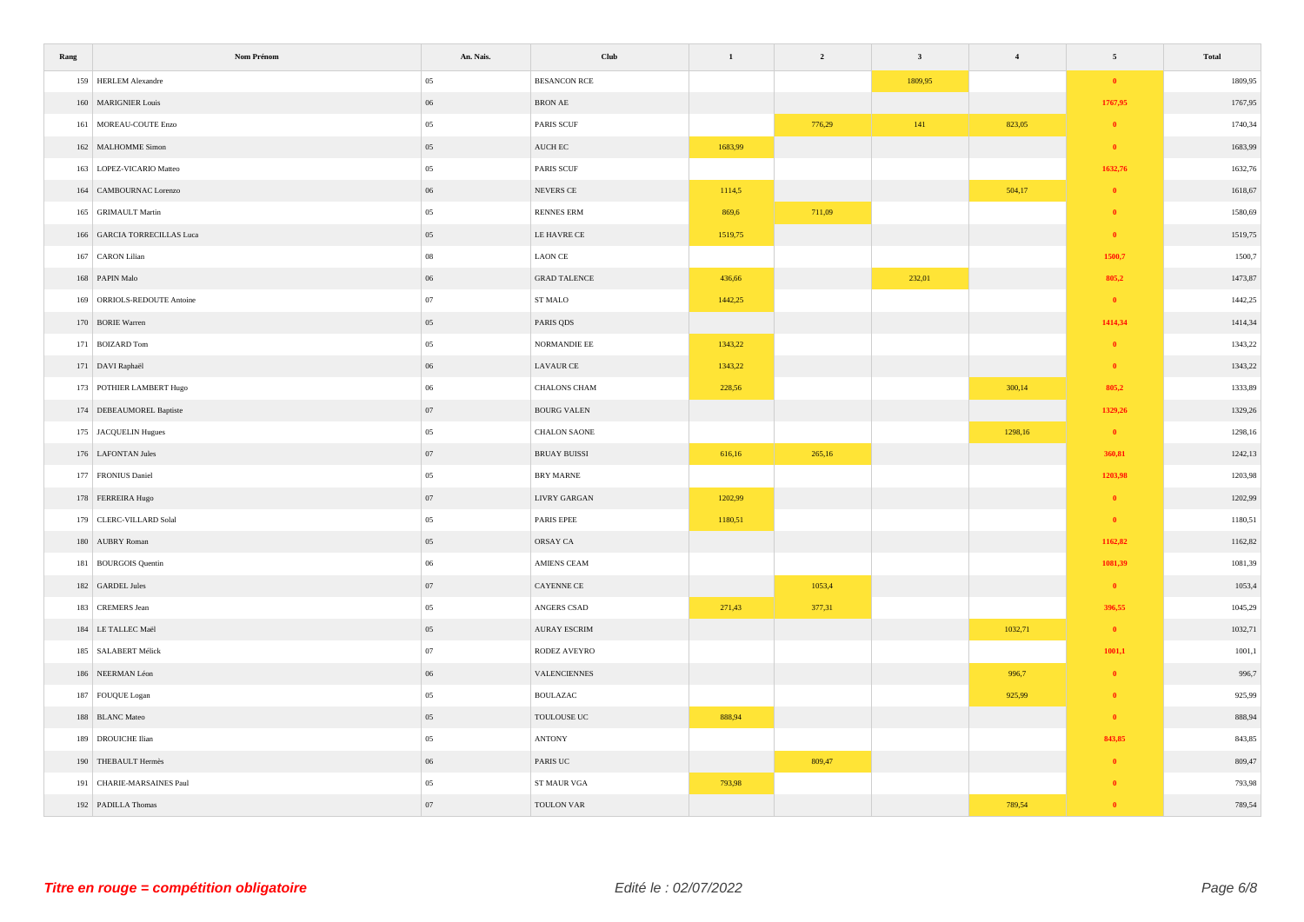| Rang | Nom Prénom                  | An. Nais.  | Club                     | $\,$ 1 $\,$ | $\overline{2}$ | $\overline{\mathbf{3}}$ | $\overline{\mathbf{4}}$ | $\sqrt{5}$   | Total   |
|------|-----------------------------|------------|--------------------------|-------------|----------------|-------------------------|-------------------------|--------------|---------|
|      | 159 HERLEM Alexandre        | 05         | <b>BESANCON RCE</b>      |             |                | 1809,95                 |                         | $\bullet$    | 1809,95 |
|      | 160 MARIGNIER Louis         | 06         | $\operatorname{BRON}$ AE |             |                |                         |                         | 1767,95      | 1767,95 |
|      | 161 MOREAU-COUTE Enzo       | 05         | <b>PARIS SCUF</b>        |             | 776,29         | $141\,$                 | 823,05                  | $\bullet$    | 1740,34 |
|      | 162 MALHOMME Simon          | 05         | $\operatorname{AUCH}$ EC | 1683,99     |                |                         |                         | $\bullet$    | 1683,99 |
|      | 163 LOPEZ-VICARIO Matteo    | 05         | PARIS SCUF               |             |                |                         |                         | 1632,76      | 1632,76 |
|      | 164 CAMBOURNAC Lorenzo      | 06         | NEVERS CE                | 1114,5      |                |                         | 504,17                  | $\bullet$    | 1618,67 |
|      | 165 GRIMAULT Martin         | 05         | RENNES ERM               | 869,6       | 711,09         |                         |                         | $\bullet$    | 1580,69 |
|      | 166 GARCIA TORRECILLAS Luca | 05         | LE HAVRE CE              | 1519,75     |                |                         |                         | $\bullet$    | 1519,75 |
|      | 167 CARON Lilian            | ${\bf 08}$ | ${\rm LAON}$ CE          |             |                |                         |                         | 1500,7       | 1500,7  |
|      | 168 PAPIN Malo              | 06         | <b>GRAD TALENCE</b>      | 436,66      |                | 232,01                  |                         | 805,2        | 1473,87 |
|      | 169 ORRIOLS-REDOUTE Antoine | 07         | ${\tt ST}\, {\tt MALO}$  | 1442,25     |                |                         |                         | $\bullet$    | 1442,25 |
|      | 170 BORIE Warren            | 05         | PARIS QDS                |             |                |                         |                         | 1414,34      | 1414,34 |
|      | 171 BOIZARD Tom             | 05         | NORMANDIE EE             | 1343,22     |                |                         |                         | $\mathbf{0}$ | 1343,22 |
|      | 171 DAVI Raphaël            | 06         | <b>LAVAUR CE</b>         | 1343,22     |                |                         |                         | $\bullet$    | 1343,22 |
|      | 173 POTHIER LAMBERT Hugo    | 06         | CHALONS CHAM             | 228,56      |                |                         | 300,14                  | 805,2        | 1333,89 |
|      | 174 DEBEAUMOREL Baptiste    | 07         | BOURG VALEN              |             |                |                         |                         | 1329,26      | 1329,26 |
|      | 175 JACQUELIN Hugues        | 05         | CHALON SAONE             |             |                |                         | 1298,16                 | $\bullet$    | 1298,16 |
|      | 176 LAFONTAN Jules          | 07         | <b>BRUAY BUISSI</b>      | 616,16      | 265,16         |                         |                         | 360,81       | 1242,13 |
|      | 177 FRONIUS Daniel          | 05         | BRY MARNE                |             |                |                         |                         | 1203,98      | 1203,98 |
|      | 178 FERREIRA Hugo           | 07         | <b>LIVRY GARGAN</b>      | 1202,99     |                |                         |                         | $\bullet$    | 1202,99 |
|      | 179 CLERC-VILLARD Solal     | 05         | PARIS EPEE               | 1180,51     |                |                         |                         | $\bullet$    | 1180,51 |
|      | 180 AUBRY Roman             | 05         | ORSAY CA                 |             |                |                         |                         | 1162,82      | 1162,82 |
|      | 181 BOURGOIS Quentin        | 06         | AMIENS CEAM              |             |                |                         |                         | 1081,39      | 1081,39 |
|      | 182 GARDEL Jules            | 07         | CAYENNE CE               |             | 1053,4         |                         |                         | $\bullet$    | 1053,4  |
|      | 183 CREMERS Jean            | 05         | ANGERS CSAD              | 271,43      | 377,31         |                         |                         | 396,55       | 1045,29 |
|      | 184 LE TALLEC Maël          | 05         | <b>AURAY ESCRIM</b>      |             |                |                         | 1032,71                 | $\bullet$    | 1032,71 |
|      | 185 SALABERT Mélick         | ${\bf 07}$ | RODEZ AVEYRO             |             |                |                         |                         | 1001,1       | 1001,1  |
|      | 186 NEERMAN Léon            | 06         | VALENCIENNES             |             |                |                         | 996,7                   | $\mathbf{0}$ | 996,7   |
|      | 187 FOUQUE Logan            | 05         | <b>BOULAZAC</b>          |             |                |                         | 925,99                  | $\bullet$    | 925,99  |
|      | 188 BLANC Mateo             | 05         | TOULOUSE UC              | 888,94      |                |                         |                         | $\bullet$    | 888,94  |
|      | 189 DROUICHE Ilian          | 05         | $\operatorname{ANTONY}$  |             |                |                         |                         | 843,85       | 843,85  |
|      | 190 THEBAULT Hermès         | 06         | PARIS UC                 |             | 809,47         |                         |                         | $\mathbf{0}$ | 809,47  |
|      | 191 CHARIE-MARSAINES Paul   | 05         | ST MAUR VGA              | 793,98      |                |                         |                         | $\bullet$    | 793,98  |
|      | 192 PADILLA Thomas          | 07         | <b>TOULON VAR</b>        |             |                |                         | 789,54                  | $\bullet$    | 789,54  |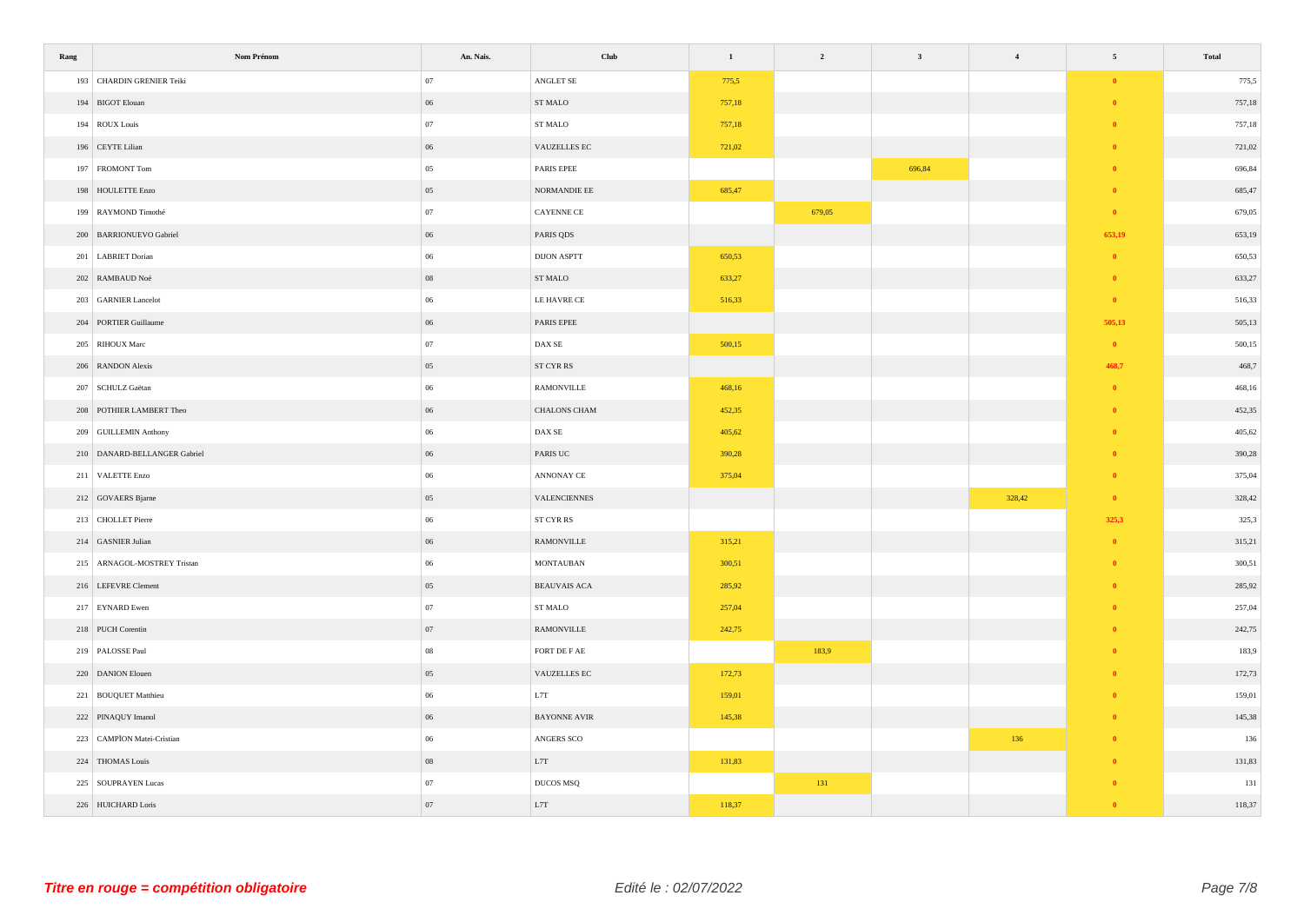| Rang | Nom Prénom                   | An. Nais.  | Club                                                     | $\mathbf{1}$ | $\overline{\mathbf{c}}$ | $\mathbf{3}$ | $\overline{\mathbf{4}}$ | $\sqrt{5}$ | Total  |
|------|------------------------------|------------|----------------------------------------------------------|--------------|-------------------------|--------------|-------------------------|------------|--------|
|      | 193 CHARDIN GRENIER Teiki    | 07         | ANGLET $\rm SE$                                          | 775,5        |                         |              |                         | $\pmb{0}$  | 775,5  |
|      | 194 BIGOT Elouan             | 06         | ST MALO                                                  | 757,18       |                         |              |                         | $\bullet$  | 757,18 |
|      | 194 ROUX Louis               | 07         | ST MALO                                                  | 757,18       |                         |              |                         | $\bullet$  | 757,18 |
|      | 196 CEYTE Lilian             | 06         | VAUZELLES EC                                             | 721,02       |                         |              |                         | $\bullet$  | 721,02 |
|      | 197 FROMONT Tom              | 05         | PARIS EPEE                                               |              |                         | 696,84       |                         | $\bullet$  | 696,84 |
|      | 198 HOULETTE Enzo            | 05         | $\operatorname{NORMANDIE}$ EE                            | 685,47       |                         |              |                         | $\theta$   | 685,47 |
|      | 199 RAYMOND Timothé          | 07         | CAYENNE CE                                               |              | 679,05                  |              |                         | $\bullet$  | 679,05 |
|      | 200 BARRIONUEVO Gabriel      | 06         | PARIS QDS                                                |              |                         |              |                         | 653,19     | 653,19 |
|      | 201 LABRIET Dorian           | 06         | $\,$ DIJON ASPTT                                         | 650,53       |                         |              |                         | $\bullet$  | 650,53 |
|      | 202 RAMBAUD Noé              | ${\bf 08}$ | ${\hbox{\footnotesize\rm ST}}$ MALO                      | 633,27       |                         |              |                         | $\bullet$  | 633,27 |
|      | 203 GARNIER Lancelot         | 06         | LE HAVRE CE                                              | 516,33       |                         |              |                         | $\bullet$  | 516,33 |
|      | 204 PORTIER Guillaume        | 06         | PARIS EPEE                                               |              |                         |              |                         | 505,13     | 505,13 |
|      | 205 RIHOUX Marc              | 07         | $\mathop{\rm DAX}\nolimits\mathop{\rm SE}\nolimits$      | 500,15       |                         |              |                         | $\bullet$  | 500,15 |
|      | 206 RANDON Alexis            | 05         | ST CYR RS                                                |              |                         |              |                         | 468,7      | 468,7  |
|      | 207 SCHULZ Gaëtan            | 06         | RAMONVILLE                                               | 468,16       |                         |              |                         | $\theta$   | 468,16 |
|      | 208 POTHIER LAMBERT Theo     | 06         | CHALONS CHAM                                             | 452,35       |                         |              |                         | $\bullet$  | 452,35 |
|      | 209 GUILLEMIN Anthony        | 06         | $\mathop{\rm DAX}\nolimits\mathop{\rm SE}\nolimits$      | 405,62       |                         |              |                         | $\bullet$  | 405,62 |
|      | 210 DANARD-BELLANGER Gabriel | 06         | PARIS UC                                                 | 390,28       |                         |              |                         | $\theta$   | 390,28 |
|      | 211 VALETTE Enzo             | 06         | ANNONAY CE                                               | 375,04       |                         |              |                         | $\bullet$  | 375,04 |
|      | 212 GOVAERS Bjarne           | 05         | VALENCIENNES                                             |              |                         |              | 328,42                  | $\bullet$  | 328,42 |
|      | 213 CHOLLET Pierre           | 06         | $\operatorname{ST} \operatorname{CYR} \operatorname{RS}$ |              |                         |              |                         | 325,3      | 325,3  |
|      | 214 GASNIER Julian           | 06         | <b>RAMONVILLE</b>                                        | 315,21       |                         |              |                         | $\bullet$  | 315,21 |
|      | 215 ARNAGOL-MOSTREY Tristan  | 06         | $\operatorname{MONTAUBAN}$                               | 300,51       |                         |              |                         | $\bullet$  | 300,51 |
|      | 216 LEFEVRE Clement          | 05         | BEAUVAIS ACA                                             | 285,92       |                         |              |                         | $\theta$   | 285,92 |
|      | 217 EYNARD Ewen              | 07         | ST MALO                                                  | 257,04       |                         |              |                         | $\bullet$  | 257,04 |
|      | 218 PUCH Corentin            | 07         | RAMONVILLE                                               | 242,75       |                         |              |                         | $\theta$   | 242,75 |
|      | 219 PALOSSE Paul             | ${\bf 08}$ | FORT DE F $\mathbf{AE}$                                  |              | 183,9                   |              |                         | $\bullet$  | 183,9  |
|      | 220 DANION Elouen            | 05         | VAUZELLES EC                                             | 172,73       |                         |              |                         | $\bullet$  | 172,73 |
|      | 221 BOUQUET Matthieu         | 06         | L7T                                                      | 159,01       |                         |              |                         | $\bullet$  | 159,01 |
|      | 222 PINAQUY Imanol           | $06\,$     | <b>BAYONNE AVIR</b>                                      | 145,38       |                         |              |                         | $\theta$   | 145,38 |
|      | 223 CAMPÏON Matei-Cristian   | 06         | ANGERS SCO                                               |              |                         |              | 136                     | $\bullet$  | 136    |
|      | 224 THOMAS Louis             | 08         | L7T                                                      | 131,83       |                         |              |                         | $\theta$   | 131,83 |
|      | 225 SOUPRAYEN Lucas          | 07         | DUCOS MSQ                                                |              | 131                     |              |                         | $\theta$   | 131    |
|      | 226 HUICHARD Loris           | 07         | $_{\rm L7T}$                                             | 118,37       |                         |              |                         | $\theta$   | 118,37 |